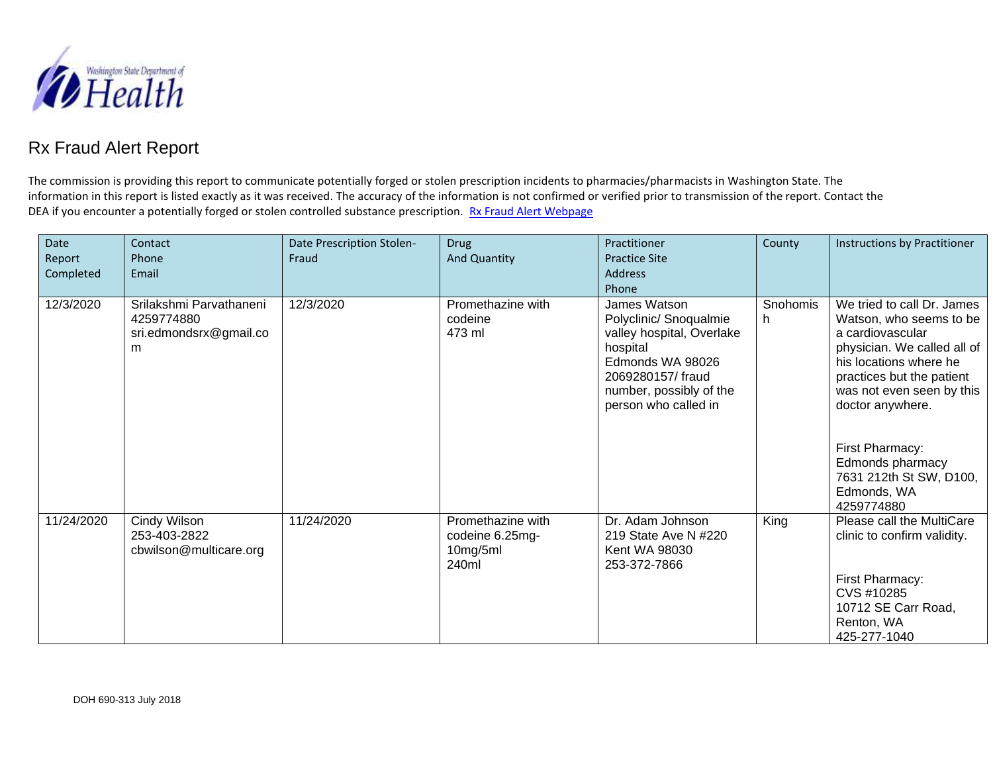

## Rx Fraud Alert Report

The commission is providing this report to communicate potentially forged or stolen prescription incidents to pharmacies/pharmacists in Washington State. The information in this report is listed exactly as it was received. The accuracy of the information is not confirmed or verified prior to transmission of the report. Contact the DEA if you encounter a potentially forged or stolen controlled substance prescription. [Rx Fraud Alert Webpage](http://www.doh.wa.gov/LicensesPermitsandCertificates/ProfessionsNewReneworUpdate/PharmacyCommission/RxFraudAlerts)

| Date<br>Report<br>Completed | Contact<br>Phone<br>Email                                            | Date Prescription Stolen-<br>Fraud | <b>Drug</b><br>And Quantity                               | Practitioner<br><b>Practice Site</b><br><b>Address</b><br>Phone                                                                                                            | County         | Instructions by Practitioner                                                                                                                                                                                                                                                                                    |
|-----------------------------|----------------------------------------------------------------------|------------------------------------|-----------------------------------------------------------|----------------------------------------------------------------------------------------------------------------------------------------------------------------------------|----------------|-----------------------------------------------------------------------------------------------------------------------------------------------------------------------------------------------------------------------------------------------------------------------------------------------------------------|
| 12/3/2020                   | Srilakshmi Parvathaneni<br>4259774880<br>sri.edmondsrx@gmail.co<br>m | 12/3/2020                          | Promethazine with<br>codeine<br>473 ml                    | James Watson<br>Polyclinic/ Snoqualmie<br>valley hospital, Overlake<br>hospital<br>Edmonds WA 98026<br>2069280157/fraud<br>number, possibly of the<br>person who called in | Snohomis<br>h. | We tried to call Dr. James<br>Watson, who seems to be<br>a cardiovascular<br>physician. We called all of<br>his locations where he<br>practices but the patient<br>was not even seen by this<br>doctor anywhere.<br>First Pharmacy:<br>Edmonds pharmacy<br>7631 212th St SW, D100,<br>Edmonds, WA<br>4259774880 |
| 11/24/2020                  | Cindy Wilson<br>253-403-2822<br>cbwilson@multicare.org               | 11/24/2020                         | Promethazine with<br>codeine 6.25mg-<br>10mg/5ml<br>240ml | Dr. Adam Johnson<br>219 State Ave N #220<br><b>Kent WA 98030</b><br>253-372-7866                                                                                           | King           | Please call the MultiCare<br>clinic to confirm validity.<br>First Pharmacy:<br>CVS #10285<br>10712 SE Carr Road,<br>Renton, WA<br>425-277-1040                                                                                                                                                                  |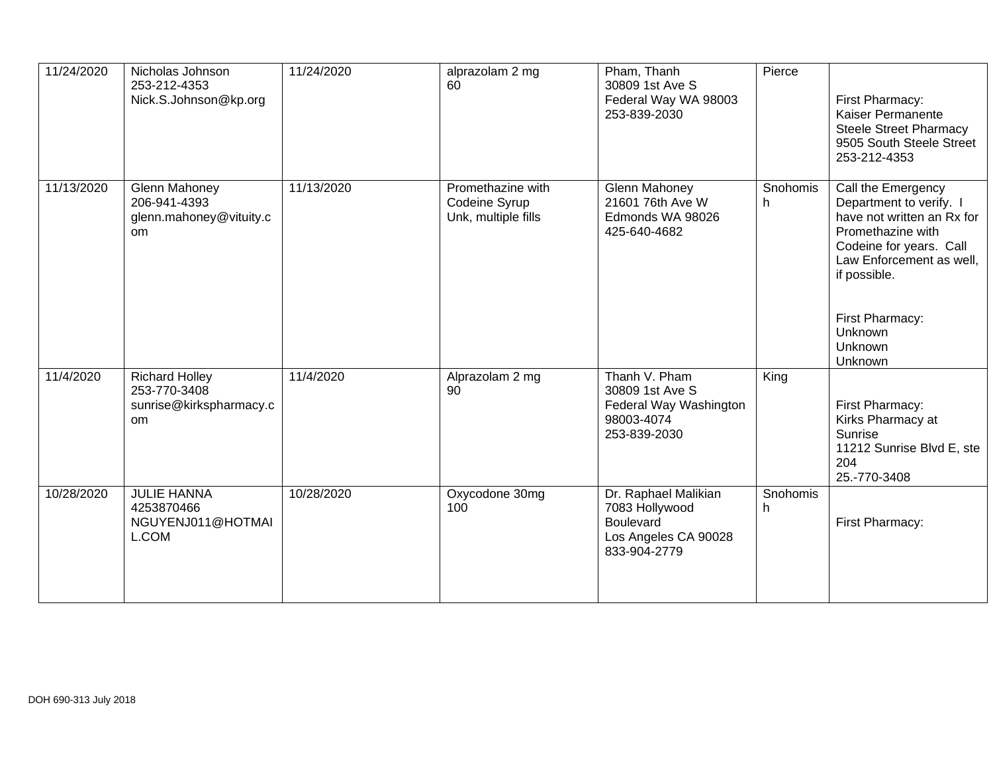| 11/24/2020 | Nicholas Johnson<br>253-212-4353<br>Nick.S.Johnson@kp.org                         | 11/24/2020 | alprazolam 2 mg<br>60                                     | Pham, Thanh<br>30809 1st Ave S<br>Federal Way WA 98003<br>253-839-2030                             | Pierce         | First Pharmacy:<br>Kaiser Permanente<br><b>Steele Street Pharmacy</b><br>9505 South Steele Street<br>253-212-4353                                                                                                           |
|------------|-----------------------------------------------------------------------------------|------------|-----------------------------------------------------------|----------------------------------------------------------------------------------------------------|----------------|-----------------------------------------------------------------------------------------------------------------------------------------------------------------------------------------------------------------------------|
| 11/13/2020 | <b>Glenn Mahoney</b><br>206-941-4393<br>glenn.mahoney@vituity.c<br><sub>om</sub>  | 11/13/2020 | Promethazine with<br>Codeine Syrup<br>Unk, multiple fills | <b>Glenn Mahoney</b><br>21601 76th Ave W<br>Edmonds WA 98026<br>425-640-4682                       | Snohomis<br>h. | Call the Emergency<br>Department to verify. I<br>have not written an Rx for<br>Promethazine with<br>Codeine for years. Call<br>Law Enforcement as well,<br>if possible.<br>First Pharmacy:<br>Unknown<br>Unknown<br>Unknown |
| 11/4/2020  | <b>Richard Holley</b><br>253-770-3408<br>sunrise@kirkspharmacy.c<br><sub>om</sub> | 11/4/2020  | Alprazolam 2 mg<br>90                                     | Thanh V. Pham<br>30809 1st Ave S<br>Federal Way Washington<br>98003-4074<br>253-839-2030           | King           | First Pharmacy:<br>Kirks Pharmacy at<br>Sunrise<br>11212 Sunrise Blvd E, ste<br>204<br>25.-770-3408                                                                                                                         |
| 10/28/2020 | <b>JULIE HANNA</b><br>4253870466<br>NGUYENJ011@HOTMAI<br>L.COM                    | 10/28/2020 | Oxycodone 30mg<br>100                                     | Dr. Raphael Malikian<br>7083 Hollywood<br><b>Boulevard</b><br>Los Angeles CA 90028<br>833-904-2779 | Snohomis<br>h. | First Pharmacy:                                                                                                                                                                                                             |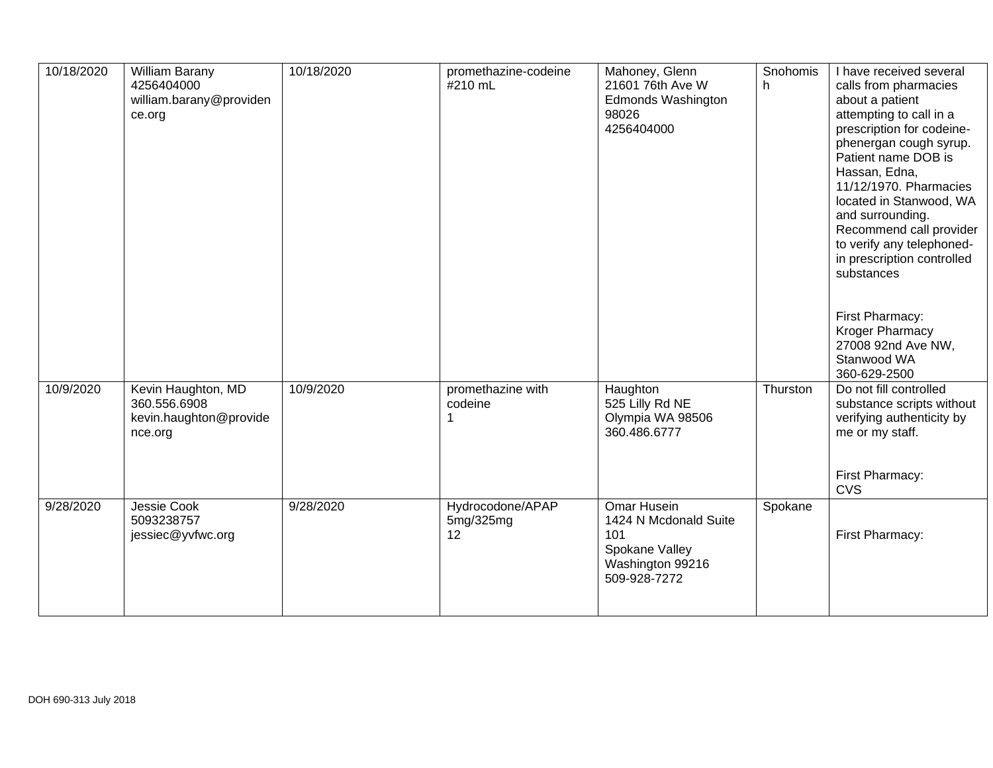| 10/18/2020 | <b>William Barany</b><br>4256404000<br>william.barany@providen<br>ce.org | 10/18/2020 | promethazine-codeine<br>#210 mL     | Mahoney, Glenn<br>21601 76th Ave W<br>Edmonds Washington<br>98026<br>4256404000                          | Snohomis<br>h. | I have received several<br>calls from pharmacies<br>about a patient<br>attempting to call in a<br>prescription for codeine-<br>phenergan cough syrup.<br>Patient name DOB is<br>Hassan, Edna,<br>11/12/1970. Pharmacies<br>located in Stanwood, WA<br>and surrounding.<br>Recommend call provider<br>to verify any telephoned-<br>in prescription controlled<br>substances<br>First Pharmacy:<br>Kroger Pharmacy<br>27008 92nd Ave NW,<br>Stanwood WA<br>360-629-2500 |
|------------|--------------------------------------------------------------------------|------------|-------------------------------------|----------------------------------------------------------------------------------------------------------|----------------|-----------------------------------------------------------------------------------------------------------------------------------------------------------------------------------------------------------------------------------------------------------------------------------------------------------------------------------------------------------------------------------------------------------------------------------------------------------------------|
| 10/9/2020  | Kevin Haughton, MD<br>360.556.6908<br>kevin.haughton@provide<br>nce.org  | 10/9/2020  | promethazine with<br>codeine<br>1   | Haughton<br>525 Lilly Rd NE<br>Olympia WA 98506<br>360.486.6777                                          | Thurston       | Do not fill controlled<br>substance scripts without<br>verifying authenticity by<br>me or my staff.<br>First Pharmacy:<br><b>CVS</b>                                                                                                                                                                                                                                                                                                                                  |
| 9/28/2020  | Jessie Cook<br>5093238757<br>jessiec@yvfwc.org                           | 9/28/2020  | Hydrocodone/APAP<br>5mg/325mg<br>12 | <b>Omar Husein</b><br>1424 N Mcdonald Suite<br>101<br>Spokane Valley<br>Washington 99216<br>509-928-7272 | Spokane        | First Pharmacy:                                                                                                                                                                                                                                                                                                                                                                                                                                                       |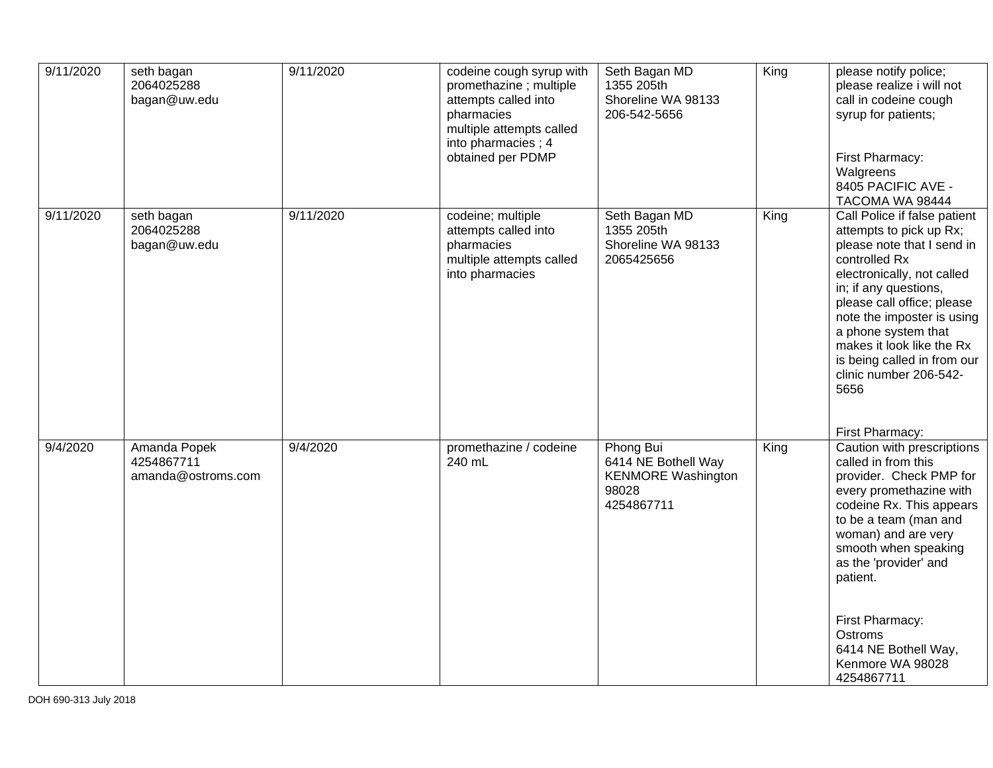| 9/11/2020 | seth bagan<br>2064025288<br>bagan@uw.edu         | 9/11/2020 | codeine cough syrup with<br>promethazine; multiple<br>attempts called into<br>pharmacies<br>multiple attempts called<br>into pharmacies; 4<br>obtained per PDMP | Seth Bagan MD<br>1355 205th<br>Shoreline WA 98133<br>206-542-5656                    | King | please notify police;<br>please realize i will not<br>call in codeine cough<br>syrup for patients;<br>First Pharmacy:<br>Walgreens<br>8405 PACIFIC AVE -<br>TACOMA WA 98444                                                                                                                                                                                       |
|-----------|--------------------------------------------------|-----------|-----------------------------------------------------------------------------------------------------------------------------------------------------------------|--------------------------------------------------------------------------------------|------|-------------------------------------------------------------------------------------------------------------------------------------------------------------------------------------------------------------------------------------------------------------------------------------------------------------------------------------------------------------------|
| 9/11/2020 | seth bagan<br>2064025288<br>bagan@uw.edu         | 9/11/2020 | codeine; multiple<br>attempts called into<br>pharmacies<br>multiple attempts called<br>into pharmacies                                                          | Seth Bagan MD<br>1355 205th<br>Shoreline WA 98133<br>2065425656                      | King | Call Police if false patient<br>attempts to pick up Rx;<br>please note that I send in<br>controlled Rx<br>electronically, not called<br>in; if any questions,<br>please call office; please<br>note the imposter is using<br>a phone system that<br>makes it look like the Rx<br>is being called in from our<br>clinic number 206-542-<br>5656<br>First Pharmacy: |
| 9/4/2020  | Amanda Popek<br>4254867711<br>amanda@ostroms.com | 9/4/2020  | promethazine / codeine<br>240 mL                                                                                                                                | Phong Bui<br>6414 NE Bothell Way<br><b>KENMORE Washington</b><br>98028<br>4254867711 | King | Caution with prescriptions<br>called in from this<br>provider. Check PMP for<br>every promethazine with<br>codeine Rx. This appears<br>to be a team (man and<br>woman) and are very<br>smooth when speaking<br>as the 'provider' and<br>patient.<br>First Pharmacy:<br>Ostroms<br>6414 NE Bothell Way,<br>Kenmore WA 98028<br>4254867711                          |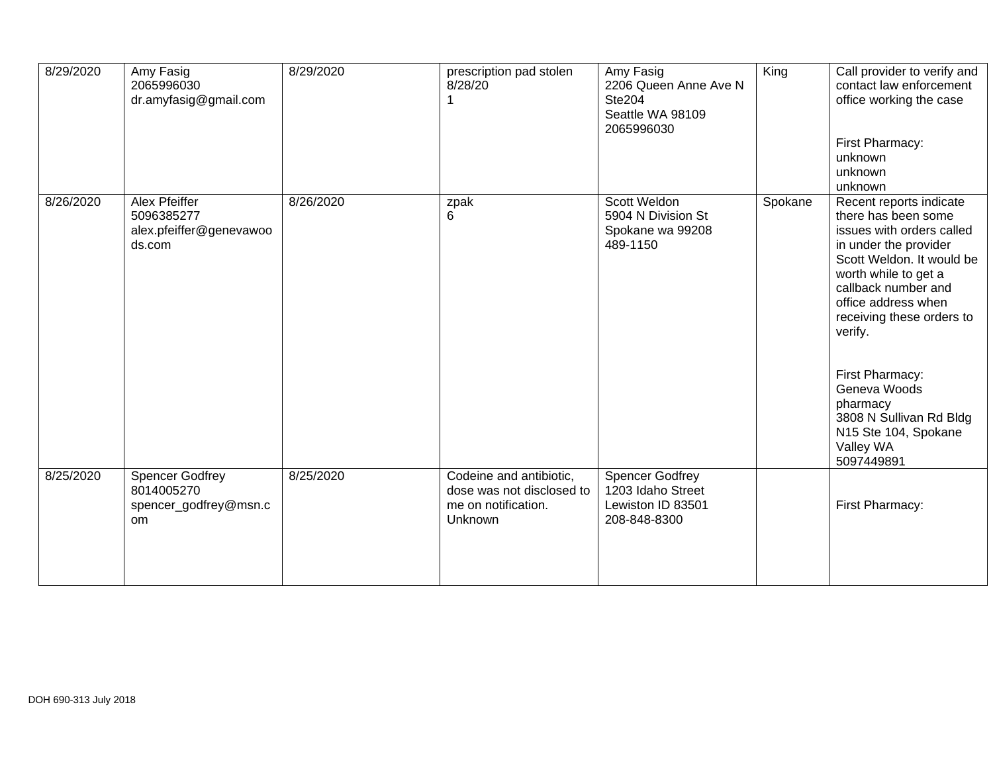| 8/29/2020 | Amy Fasig<br>2065996030<br>dr.amyfasig@gmail.com                               | 8/29/2020 | prescription pad stolen<br>8/28/20                                                            | Amy Fasig<br>2206 Queen Anne Ave N<br><b>Ste204</b><br>Seattle WA 98109<br>2065996030 | King    | Call provider to verify and<br>contact law enforcement<br>office working the case<br>First Pharmacy:<br>unknown<br>unknown<br>unknown                                                                                                                                                                                                                                        |
|-----------|--------------------------------------------------------------------------------|-----------|-----------------------------------------------------------------------------------------------|---------------------------------------------------------------------------------------|---------|------------------------------------------------------------------------------------------------------------------------------------------------------------------------------------------------------------------------------------------------------------------------------------------------------------------------------------------------------------------------------|
| 8/26/2020 | <b>Alex Pfeiffer</b><br>5096385277<br>alex.pfeiffer@genevawoo<br>ds.com        | 8/26/2020 | zpak<br>6                                                                                     | <b>Scott Weldon</b><br>5904 N Division St<br>Spokane wa 99208<br>489-1150             | Spokane | Recent reports indicate<br>there has been some<br>issues with orders called<br>in under the provider<br>Scott Weldon. It would be<br>worth while to get a<br>callback number and<br>office address when<br>receiving these orders to<br>verify.<br>First Pharmacy:<br>Geneva Woods<br>pharmacy<br>3808 N Sullivan Rd Bldg<br>N15 Ste 104, Spokane<br>Valley WA<br>5097449891 |
| 8/25/2020 | <b>Spencer Godfrey</b><br>8014005270<br>spencer_godfrey@msn.c<br><sub>om</sub> | 8/25/2020 | Codeine and antibiotic,<br>dose was not disclosed to<br>me on notification.<br><b>Unknown</b> | <b>Spencer Godfrey</b><br>1203 Idaho Street<br>Lewiston ID 83501<br>208-848-8300      |         | First Pharmacy:                                                                                                                                                                                                                                                                                                                                                              |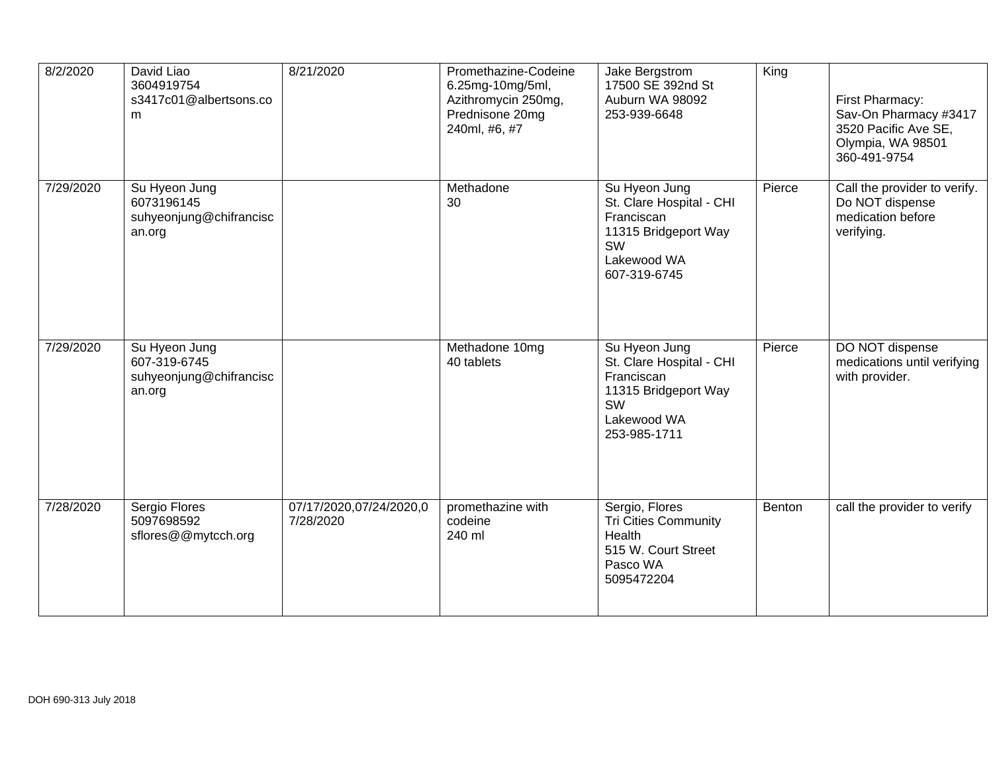| 8/2/2020  | David Liao<br>3604919754<br>s3417c01@albertsons.co<br>m            | 8/21/2020                            | Promethazine-Codeine<br>6.25mg-10mg/5ml,<br>Azithromycin 250mg,<br>Prednisone 20mg<br>240ml, #6, #7 | Jake Bergstrom<br>17500 SE 392nd St<br>Auburn WA 98092<br>253-939-6648                                                      | King   | First Pharmacy:<br>Sav-On Pharmacy #3417<br>3520 Pacific Ave SE,<br>Olympia, WA 98501<br>360-491-9754 |
|-----------|--------------------------------------------------------------------|--------------------------------------|-----------------------------------------------------------------------------------------------------|-----------------------------------------------------------------------------------------------------------------------------|--------|-------------------------------------------------------------------------------------------------------|
| 7/29/2020 | Su Hyeon Jung<br>6073196145<br>suhyeonjung@chifrancisc<br>an.org   |                                      | Methadone<br>30                                                                                     | Su Hyeon Jung<br>St. Clare Hospital - CHI<br>Franciscan<br>11315 Bridgeport Way<br>SW<br>Lakewood WA<br>607-319-6745        | Pierce | Call the provider to verify.<br>Do NOT dispense<br>medication before<br>verifying.                    |
| 7/29/2020 | Su Hyeon Jung<br>607-319-6745<br>suhyeonjung@chifrancisc<br>an.org |                                      | Methadone 10mg<br>40 tablets                                                                        | Su Hyeon Jung<br>St. Clare Hospital - CHI<br>Franciscan<br>11315 Bridgeport Way<br><b>SW</b><br>Lakewood WA<br>253-985-1711 | Pierce | DO NOT dispense<br>medications until verifying<br>with provider.                                      |
| 7/28/2020 | Sergio Flores<br>5097698592<br>sflores@@mytcch.org                 | 07/17/2020,07/24/2020,0<br>7/28/2020 | promethazine with<br>codeine<br>240 ml                                                              | Sergio, Flores<br>Tri Cities Community<br>Health<br>515 W. Court Street<br>Pasco WA<br>5095472204                           | Benton | call the provider to verify                                                                           |